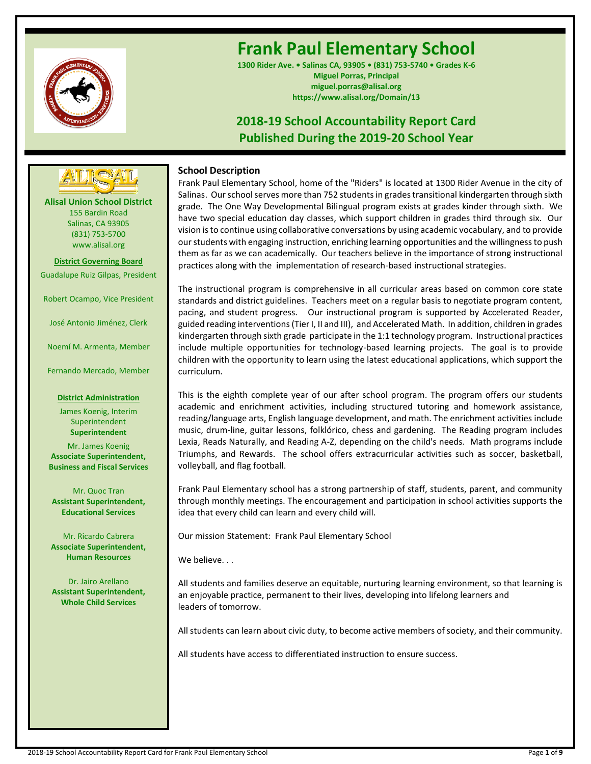

# **Frank Paul Elementary School**

**1300 Rider Ave. • Salinas CA, 93905 • (831) 753-5740 • Grades K-6 Miguel Porras, Principal miguel.porras@alisal.org https://www.alisal.org/Domain/13**

## **2018-19 School Accountability Report Card Published During the 2019-20 School Year**



**Alisal Union School District** 155 Bardin Road Salinas, CA 93905 (831) 753-5700 www.alisal.org

**District Governing Board** Guadalupe Ruiz Gilpas, President

Robert Ocampo, Vice President

José Antonio Jiménez, Clerk

Noemí M. Armenta, Member

Fernando Mercado, Member

## **District Administration**

James Koenig, Interim **Superintendent Superintendent** Mr. James Koenig **Associate Superintendent, Business and Fiscal Services**

Mr. Quoc Tran **Assistant Superintendent, Educational Services**

Mr. Ricardo Cabrera **Associate Superintendent, Human Resources**

Dr. Jairo Arellano **Assistant Superintendent, Whole Child Services**

## **School Description**

Frank Paul Elementary School, home of the "Riders" is located at 1300 Rider Avenue in the city of Salinas. Our school serves more than 752 students in grades transitional kindergarten through sixth grade. The One Way Developmental Bilingual program exists at grades kinder through sixth. We have two special education day classes, which support children in grades third through six. Our vision is to continue using collaborative conversations by using academic vocabulary, and to provide our students with engaging instruction, enriching learning opportunities and the willingness to push them as far as we can academically. Our teachers believe in the importance of strong instructional practices along with the implementation of research-based instructional strategies.

The instructional program is comprehensive in all curricular areas based on common core state standards and district guidelines. Teachers meet on a regular basis to negotiate program content, pacing, and student progress. Our instructional program is supported by Accelerated Reader, guided reading interventions (Tier I, II and III), and Accelerated Math. In addition, children in grades kindergarten through sixth grade participate in the 1:1 technology program. Instructional practices include multiple opportunities for technology-based learning projects. The goal is to provide children with the opportunity to learn using the latest educational applications, which support the curriculum.

This is the eighth complete year of our after school program. The program offers our students academic and enrichment activities, including structured tutoring and homework assistance, reading/language arts, English language development, and math. The enrichment activities include music, drum-line, guitar lessons, folklórico, chess and gardening. The Reading program includes Lexia, Reads Naturally, and Reading A-Z, depending on the child's needs. Math programs include Triumphs, and Rewards. The school offers extracurricular activities such as soccer, basketball, volleyball, and flag football.

Frank Paul Elementary school has a strong partnership of staff, students, parent, and community through monthly meetings. The encouragement and participation in school activities supports the idea that every child can learn and every child will.

Our mission Statement: Frank Paul Elementary School

We believe...

All students and families deserve an equitable, nurturing learning environment, so that learning is an enjoyable practice, permanent to their lives, developing into lifelong learners and leaders of tomorrow.

All students can learn about civic duty, to become active members of society, and their community.

All students have access to differentiated instruction to ensure success.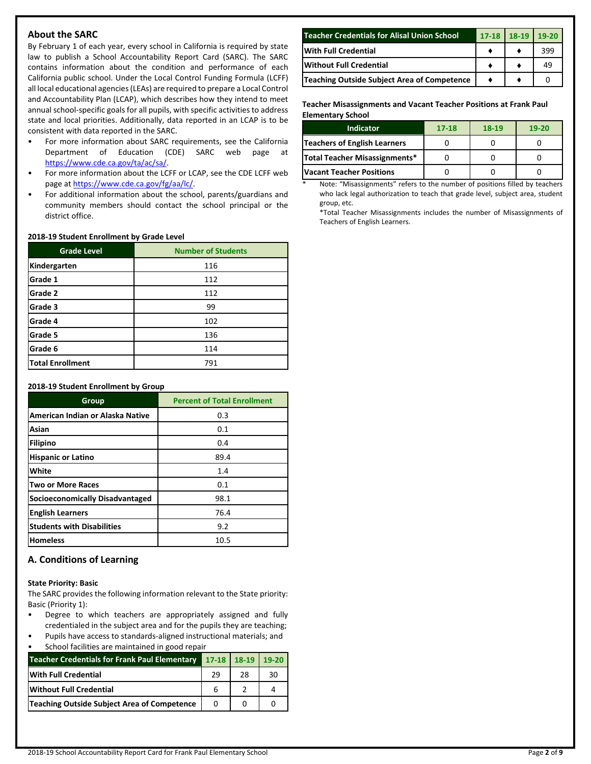## **About the SARC**

By February 1 of each year, every school in California is required by state law to publish a School Accountability Report Card (SARC). The SARC contains information about the condition and performance of each California public school. Under the Local Control Funding Formula (LCFF) all local educational agencies (LEAs) are required to prepare a Local Control and Accountability Plan (LCAP), which describes how they intend to meet annual school-specific goals for all pupils, with specific activities to address state and local priorities. Additionally, data reported in an LCAP is to be consistent with data reported in the SARC.

- For more information about SARC requirements, see the California Department of Education (CDE) SARC web page at [https://www.cde.ca.gov/ta/ac/sa/.](https://www.cde.ca.gov/ta/ac/sa/)
- For more information about the LCFF or LCAP, see the CDE LCFF web page at [https://www.cde.ca.gov/fg/aa/lc/.](https://www.cde.ca.gov/fg/aa/lc/)
- For additional information about the school, parents/guardians and community members should contact the school principal or the district office.

#### **2018-19 Student Enrollment by Grade Level**

| <b>Grade Level</b>      | <b>Number of Students</b> |
|-------------------------|---------------------------|
| Kindergarten            | 116                       |
| Grade 1                 | 112                       |
| Grade 2                 | 112                       |
| Grade 3                 | 99                        |
| Grade 4                 | 102                       |
| Grade 5                 | 136                       |
| Grade 6                 | 114                       |
| <b>Total Enrollment</b> | 791                       |

#### **2018-19 Student Enrollment by Group**

| Group                                  | <b>Percent of Total Enrollment</b> |
|----------------------------------------|------------------------------------|
| American Indian or Alaska Native       | 0.3                                |
| Asian                                  | 0.1                                |
| <b>Filipino</b>                        | 0.4                                |
| <b>Hispanic or Latino</b>              | 89.4                               |
| White                                  | 1.4                                |
| <b>Two or More Races</b>               | 0.1                                |
| <b>Socioeconomically Disadvantaged</b> | 98.1                               |
| <b>English Learners</b>                | 76.4                               |
| <b>Students with Disabilities</b>      | 9.2                                |
| <b>Homeless</b>                        | 10.5                               |

## **A. Conditions of Learning**

#### **State Priority: Basic**

The SARC provides the following information relevant to the State priority: Basic (Priority 1):

- Degree to which teachers are appropriately assigned and fully credentialed in the subject area and for the pupils they are teaching;
- Pupils have access to standards-aligned instructional materials; and School facilities are maintained in good repair

| Teacher Credentials for Frank Paul Elementary 17-18   18-19   19-20 |    |    |    |
|---------------------------------------------------------------------|----|----|----|
| <b>With Full Credential</b>                                         | 29 | 28 | 30 |
| Without Full Credential                                             |    |    |    |
| Teaching Outside Subject Area of Competence                         |    |    |    |

| <b>Teacher Credentials for Alisal Union School</b> | 17-18 18-19 | $19-20$ |
|----------------------------------------------------|-------------|---------|
| <b>With Full Credential</b>                        |             | 399     |
| <b>Without Full Credential</b>                     |             |         |
| Teaching Outside Subject Area of Competence        |             |         |

**Teacher Misassignments and Vacant Teacher Positions at Frank Paul Elementary School**

| <b>Indicator</b>                | $17 - 18$ | 18-19 | $19-20$ |
|---------------------------------|-----------|-------|---------|
| Teachers of English Learners    |           |       |         |
| Total Teacher Misassignments*   |           |       |         |
| <b>Vacant Teacher Positions</b> |           |       |         |

Note: "Misassignments" refers to the number of positions filled by teachers who lack legal authorization to teach that grade level, subject area, student group, etc.

\*Total Teacher Misassignments includes the number of Misassignments of Teachers of English Learners.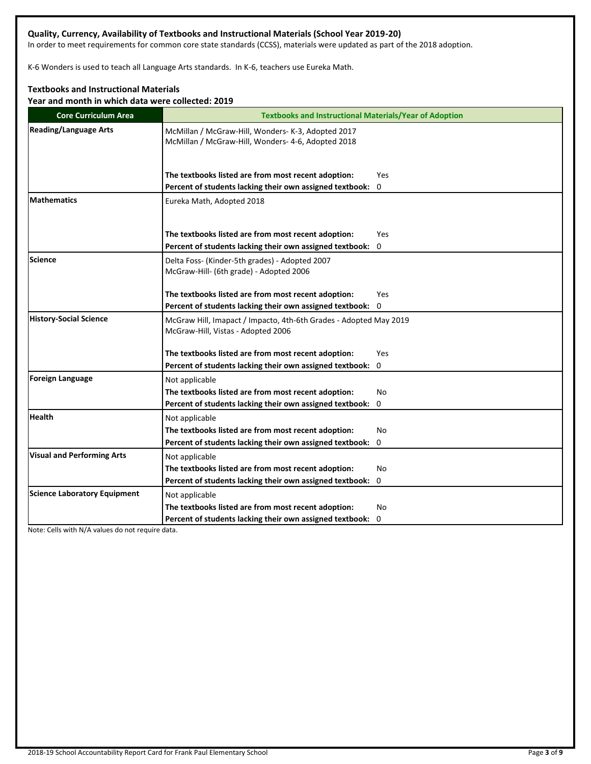## **Quality, Currency, Availability of Textbooks and Instructional Materials (School Year 2019-20)**

In order to meet requirements for common core state standards (CCSS), materials were updated as part of the 2018 adoption.

K-6 Wonders is used to teach all Language Arts standards. In K-6, teachers use Eureka Math.

## **Textbooks and Instructional Materials**

**Year and month in which data were collected: 2019**

| <b>Core Curriculum Area</b>         | <b>Textbooks and Instructional Materials/Year of Adoption</b>                                            |
|-------------------------------------|----------------------------------------------------------------------------------------------------------|
| <b>Reading/Language Arts</b>        | McMillan / McGraw-Hill, Wonders- K-3, Adopted 2017<br>McMillan / McGraw-Hill, Wonders- 4-6, Adopted 2018 |
|                                     | The textbooks listed are from most recent adoption:<br>Yes                                               |
|                                     | Percent of students lacking their own assigned textbook:<br>0                                            |
| <b>Mathematics</b>                  | Eureka Math, Adopted 2018                                                                                |
|                                     | The textbooks listed are from most recent adoption:<br><b>Yes</b>                                        |
|                                     | Percent of students lacking their own assigned textbook:<br>$\mathbf{0}$                                 |
| <b>Science</b>                      | Delta Foss- (Kinder-5th grades) - Adopted 2007<br>McGraw-Hill- (6th grade) - Adopted 2006                |
|                                     | The textbooks listed are from most recent adoption:<br>Yes                                               |
|                                     | Percent of students lacking their own assigned textbook: 0                                               |
| <b>History-Social Science</b>       | McGraw Hill, Imapact / Impacto, 4th-6th Grades - Adopted May 2019<br>McGraw-Hill, Vistas - Adopted 2006  |
|                                     | The textbooks listed are from most recent adoption:<br>Yes                                               |
|                                     | Percent of students lacking their own assigned textbook: 0                                               |
| <b>Foreign Language</b>             | Not applicable                                                                                           |
|                                     | The textbooks listed are from most recent adoption:<br>No                                                |
|                                     | Percent of students lacking their own assigned textbook:<br>0                                            |
| <b>Health</b>                       | Not applicable                                                                                           |
|                                     | The textbooks listed are from most recent adoption:<br>No                                                |
|                                     | Percent of students lacking their own assigned textbook:<br>0                                            |
| <b>Visual and Performing Arts</b>   | Not applicable                                                                                           |
|                                     | The textbooks listed are from most recent adoption:<br>No                                                |
|                                     | Percent of students lacking their own assigned textbook: 0                                               |
| <b>Science Laboratory Equipment</b> | Not applicable                                                                                           |
|                                     | The textbooks listed are from most recent adoption:<br>No                                                |
|                                     | Percent of students lacking their own assigned textbook: 0                                               |

Note: Cells with N/A values do not require data.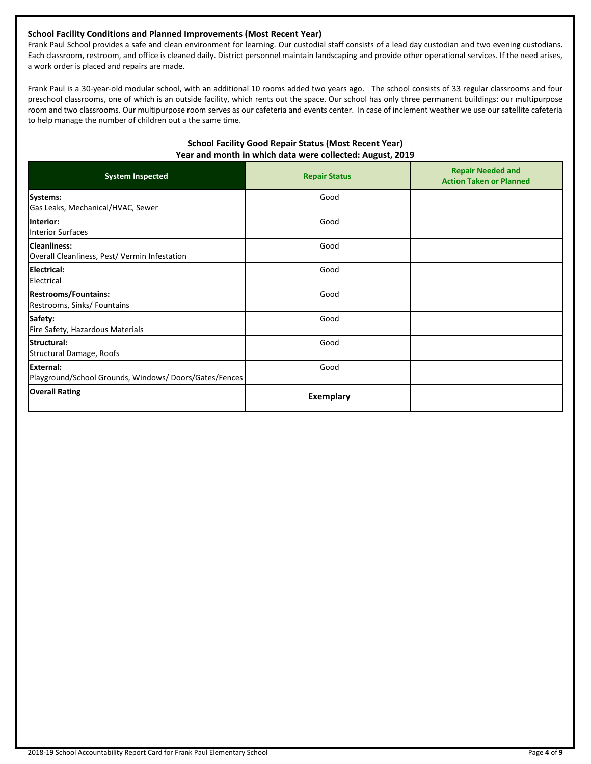## **School Facility Conditions and Planned Improvements (Most Recent Year)**

Frank Paul School provides a safe and clean environment for learning. Our custodial staff consists of a lead day custodian and two evening custodians. Each classroom, restroom, and office is cleaned daily. District personnel maintain landscaping and provide other operational services. If the need arises, a work order is placed and repairs are made.

Frank Paul is a 30-year-old modular school, with an additional 10 rooms added two years ago. The school consists of 33 regular classrooms and four preschool classrooms, one of which is an outside facility, which rents out the space. Our school has only three permanent buildings: our multipurpose room and two classrooms. Our multipurpose room serves as our cafeteria and events center. In case of inclement weather we use our satellite cafeteria to help manage the number of children out a the same time.

## **School Facility Good Repair Status (Most Recent Year) Year and month in which data were collected: August, 2019**

| <b>System Inspected</b>                                                   | <b>Repair Status</b> | <b>Repair Needed and</b><br><b>Action Taken or Planned</b> |
|---------------------------------------------------------------------------|----------------------|------------------------------------------------------------|
| Systems:<br>Gas Leaks, Mechanical/HVAC, Sewer                             | Good                 |                                                            |
| Interior:<br><b>Interior Surfaces</b>                                     | Good                 |                                                            |
| <b>Cleanliness:</b><br>Overall Cleanliness, Pest/Vermin Infestation       | Good                 |                                                            |
| Electrical:<br>Electrical                                                 | Good                 |                                                            |
| <b>Restrooms/Fountains:</b><br>Restrooms, Sinks/ Fountains                | Good                 |                                                            |
| Safety:<br>Fire Safety, Hazardous Materials                               | Good                 |                                                            |
| Structural:<br>Structural Damage, Roofs                                   | Good                 |                                                            |
| <b>External:</b><br>Playground/School Grounds, Windows/Doors/Gates/Fences | Good                 |                                                            |
| <b>Overall Rating</b>                                                     | <b>Exemplary</b>     |                                                            |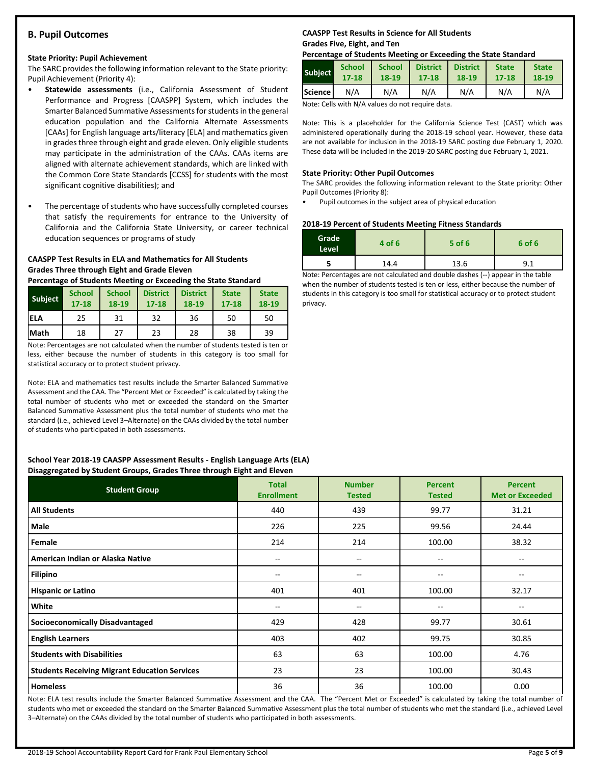## **B. Pupil Outcomes**

#### **State Priority: Pupil Achievement**

The SARC provides the following information relevant to the State priority: Pupil Achievement (Priority 4):

- **Statewide assessments** (i.e., California Assessment of Student Performance and Progress [CAASPP] System, which includes the Smarter Balanced Summative Assessments for students in the general education population and the California Alternate Assessments [CAAs] for English language arts/literacy [ELA] and mathematics given in grades three through eight and grade eleven. Only eligible students may participate in the administration of the CAAs. CAAs items are aligned with alternate achievement standards, which are linked with the Common Core State Standards [CCSS] for students with the most significant cognitive disabilities); and
- The percentage of students who have successfully completed courses that satisfy the requirements for entrance to the University of California and the California State University, or career technical education sequences or programs of study

## **CAASPP Test Results in ELA and Mathematics for All Students Grades Three through Eight and Grade Eleven**

**Percentage of Students Meeting or Exceeding the State Standard**

| <b>Subject</b> | <b>School</b><br>$17 - 18$ | <b>School</b><br>18-19 | <b>District</b><br>$17 - 18$ | <b>District</b><br>18-19 | <b>State</b><br>$17 - 18$ | <b>State</b><br>18-19 |
|----------------|----------------------------|------------------------|------------------------------|--------------------------|---------------------------|-----------------------|
| <b>IELA</b>    | 25                         | 31                     | 32                           | 36                       | 50                        | 50                    |
| <b>Math</b>    | 18                         | 27                     | 23                           | 28                       | 38                        | 39                    |

Note: Percentages are not calculated when the number of students tested is ten or less, either because the number of students in this category is too small for statistical accuracy or to protect student privacy.

Note: ELA and mathematics test results include the Smarter Balanced Summative Assessment and the CAA. The "Percent Met or Exceeded" is calculated by taking the total number of students who met or exceeded the standard on the Smarter Balanced Summative Assessment plus the total number of students who met the standard (i.e., achieved Level 3–Alternate) on the CAAs divided by the total number of students who participated in both assessments.

#### **School Year 2018-19 CAASPP Assessment Results - English Language Arts (ELA) Disaggregated by Student Groups, Grades Three through Eight and Eleven**

| . .<br>$\cdot$ $\cdot$<br><b>Student Group</b>       | <b>Total</b><br><b>Enrollment</b> | <b>Number</b><br><b>Tested</b> | <b>Percent</b><br><b>Tested</b> | <b>Percent</b><br><b>Met or Exceeded</b> |
|------------------------------------------------------|-----------------------------------|--------------------------------|---------------------------------|------------------------------------------|
| <b>All Students</b>                                  | 440                               | 439                            | 99.77                           | 31.21                                    |
| Male                                                 | 226                               | 225                            | 99.56                           | 24.44                                    |
| Female                                               | 214                               | 214                            | 100.00                          | 38.32                                    |
| American Indian or Alaska Native                     | --                                | --                             | --                              | $- -$                                    |
| <b>Filipino</b>                                      | --                                | $- -$                          | --                              | --                                       |
| <b>Hispanic or Latino</b>                            | 401                               | 401                            | 100.00                          | 32.17                                    |
| White                                                | --                                | --                             |                                 | --                                       |
| <b>Socioeconomically Disadvantaged</b>               | 429                               | 428                            | 99.77                           | 30.61                                    |
| <b>English Learners</b>                              | 403                               | 402                            | 99.75                           | 30.85                                    |
| <b>Students with Disabilities</b>                    | 63                                | 63                             | 100.00                          | 4.76                                     |
| <b>Students Receiving Migrant Education Services</b> | 23                                | 23                             | 100.00                          | 30.43                                    |
| <b>Homeless</b>                                      | 36                                | 36                             | 100.00                          | 0.00                                     |

Note: ELA test results include the Smarter Balanced Summative Assessment and the CAA. The "Percent Met or Exceeded" is calculated by taking the total number of students who met or exceeded the standard on the Smarter Balanced Summative Assessment plus the total number of students who met the standard (i.e., achieved Level 3–Alternate) on the CAAs divided by the total number of students who participated in both assessments.

## **CAASPP Test Results in Science for All Students Grades Five, Eight, and Ten**

#### **Percentage of Students Meeting or Exceeding the State Standard**

| <b>Subject</b>   | <b>School</b> | <b>School</b> | <b>District</b> | <b>District</b> | <b>State</b> | <b>State</b> |
|------------------|---------------|---------------|-----------------|-----------------|--------------|--------------|
|                  | $17 - 18$     | $18 - 19$     | $17 - 18$       | 18-19           | $17 - 18$    | 18-19        |
| <b>Science</b> I | N/A           | N/A           | N/A             | N/A             | N/A          | N/A          |

Note: Cells with N/A values do not require data.

Note: This is a placeholder for the California Science Test (CAST) which was administered operationally during the 2018-19 school year. However, these data are not available for inclusion in the 2018-19 SARC posting due February 1, 2020. These data will be included in the 2019-20 SARC posting due February 1, 2021.

#### **State Priority: Other Pupil Outcomes**

The SARC provides the following information relevant to the State priority: Other Pupil Outcomes (Priority 8):

• Pupil outcomes in the subject area of physical education

#### **2018-19 Percent of Students Meeting Fitness Standards**

| Grade<br>Level | 4 of 6 | $5$ of 6 | 6 of 6 |
|----------------|--------|----------|--------|
|                | 14.4   | 13.6     | 9.1    |

Note: Percentages are not calculated and double dashes (--) appear in the table when the number of students tested is ten or less, either because the number of students in this category is too small for statistical accuracy or to protect student privacy.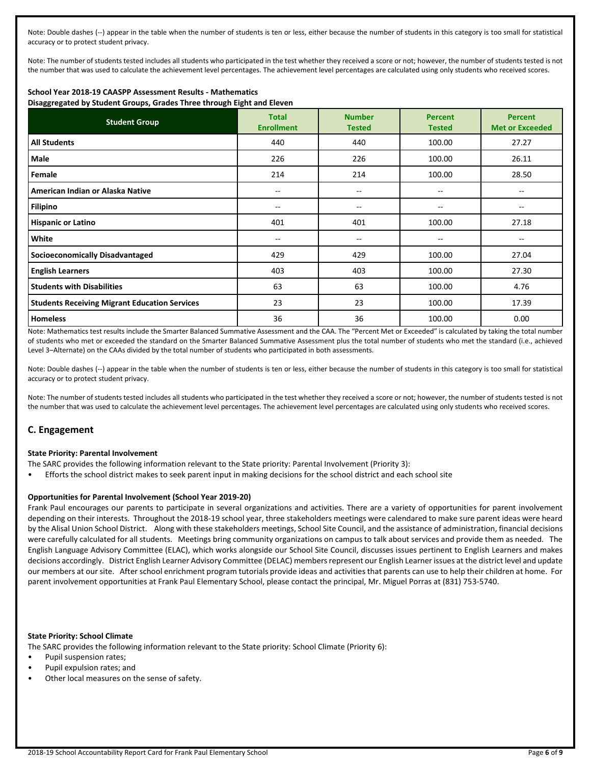Note: Double dashes (--) appear in the table when the number of students is ten or less, either because the number of students in this category is too small for statistical accuracy or to protect student privacy.

Note: The number of students tested includes all students who participated in the test whether they received a score or not; however, the number of students tested is not the number that was used to calculate the achievement level percentages. The achievement level percentages are calculated using only students who received scores.

## **School Year 2018-19 CAASPP Assessment Results - Mathematics**

**Disaggregated by Student Groups, Grades Three through Eight and Eleven**

| <b>Student Group</b>                                 | <b>Total</b><br><b>Enrollment</b> | <b>Number</b><br><b>Tested</b> | <b>Percent</b><br><b>Tested</b> | <b>Percent</b><br><b>Met or Exceeded</b> |
|------------------------------------------------------|-----------------------------------|--------------------------------|---------------------------------|------------------------------------------|
| <b>All Students</b>                                  | 440                               | 440                            | 100.00                          | 27.27                                    |
| <b>Male</b>                                          | 226                               | 226                            | 100.00                          | 26.11                                    |
| Female                                               | 214                               | 214                            | 100.00                          | 28.50                                    |
| American Indian or Alaska Native                     | --                                | --                             | --                              | --                                       |
| <b>Filipino</b>                                      | $- -$                             | --                             | $-$                             | --                                       |
| <b>Hispanic or Latino</b>                            | 401                               | 401                            | 100.00                          | 27.18                                    |
| White                                                | --                                | --                             | $-$                             | --                                       |
| <b>Socioeconomically Disadvantaged</b>               | 429                               | 429                            | 100.00                          | 27.04                                    |
| <b>English Learners</b>                              | 403                               | 403                            | 100.00                          | 27.30                                    |
| <b>Students with Disabilities</b>                    | 63                                | 63                             | 100.00                          | 4.76                                     |
| <b>Students Receiving Migrant Education Services</b> | 23                                | 23                             | 100.00                          | 17.39                                    |
| <b>Homeless</b>                                      | 36                                | 36                             | 100.00                          | 0.00                                     |

Note: Mathematics test results include the Smarter Balanced Summative Assessment and the CAA. The "Percent Met or Exceeded" is calculated by taking the total number of students who met or exceeded the standard on the Smarter Balanced Summative Assessment plus the total number of students who met the standard (i.e., achieved Level 3–Alternate) on the CAAs divided by the total number of students who participated in both assessments.

Note: Double dashes (--) appear in the table when the number of students is ten or less, either because the number of students in this category is too small for statistical accuracy or to protect student privacy.

Note: The number of students tested includes all students who participated in the test whether they received a score or not; however, the number of students tested is not the number that was used to calculate the achievement level percentages. The achievement level percentages are calculated using only students who received scores.

## **C. Engagement**

#### **State Priority: Parental Involvement**

- The SARC provides the following information relevant to the State priority: Parental Involvement (Priority 3):
- Efforts the school district makes to seek parent input in making decisions for the school district and each school site

#### **Opportunities for Parental Involvement (School Year 2019-20)**

Frank Paul encourages our parents to participate in several organizations and activities. There are a variety of opportunities for parent involvement depending on their interests. Throughout the 2018-19 school year, three stakeholders meetings were calendared to make sure parent ideas were heard by the Alisal Union School District. Along with these stakeholders meetings, School Site Council, and the assistance of administration, financial decisions were carefully calculated for all students. Meetings bring community organizations on campus to talk about services and provide them as needed. The English Language Advisory Committee (ELAC), which works alongside our School Site Council, discusses issues pertinent to English Learners and makes decisions accordingly. District English Learner Advisory Committee (DELAC) members represent our English Learner issues at the district level and update our members at our site. After school enrichment program tutorials provide ideas and activities that parents can use to help their children at home. For parent involvement opportunities at Frank Paul Elementary School, please contact the principal, Mr. Miguel Porras at (831) 753-5740.

#### **State Priority: School Climate**

The SARC provides the following information relevant to the State priority: School Climate (Priority 6):

- Pupil suspension rates;
- Pupil expulsion rates; and
- Other local measures on the sense of safety.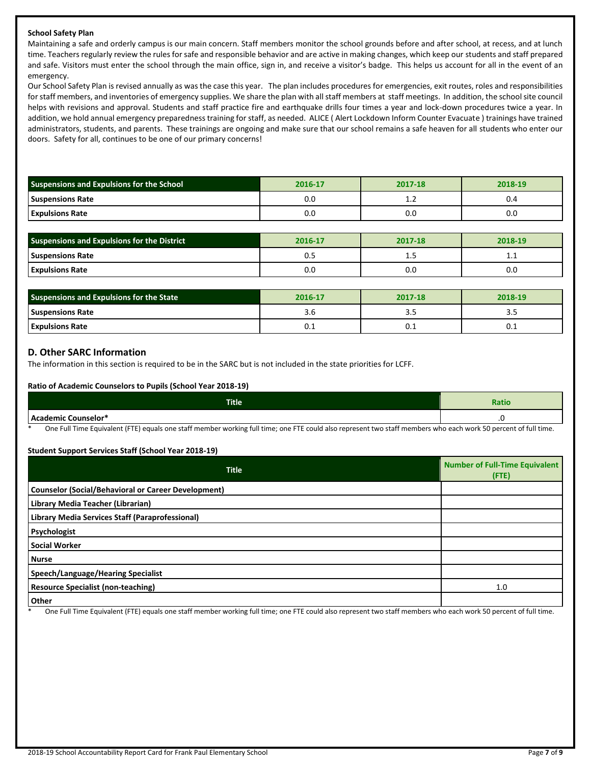## **School Safety Plan**

Maintaining a safe and orderly campus is our main concern. Staff members monitor the school grounds before and after school, at recess, and at lunch time. Teachers regularly review the rules for safe and responsible behavior and are active in making changes, which keep our students and staff prepared and safe. Visitors must enter the school through the main office, sign in, and receive a visitor's badge. This helps us account for all in the event of an emergency.

Our School Safety Plan is revised annually as was the case this year. The plan includes procedures for emergencies, exit routes, roles and responsibilities for staff members, and inventories of emergency supplies. We share the plan with all staff members at staff meetings. In addition, the school site council helps with revisions and approval. Students and staff practice fire and earthquake drills four times a year and lock-down procedures twice a year. In addition, we hold annual emergency preparedness training for staff, as needed. ALICE ( Alert Lockdown Inform Counter Evacuate ) trainings have trained administrators, students, and parents. These trainings are ongoing and make sure that our school remains a safe heaven for all students who enter our doors. Safety for all, continues to be one of our primary concerns!

| Suspensions and Expulsions for the School | 2016-17 | 2017-18      | 2018-19 |
|-------------------------------------------|---------|--------------|---------|
| <b>Suspensions Rate</b>                   | 0.0     | . . <u>.</u> | 0.4     |
| <b>Expulsions Rate</b>                    | 0.0     | u.u          | 0.0     |

| <b>Suspensions and Expulsions for the District</b> | 2016-17 | 2017-18 | 2018-19 |
|----------------------------------------------------|---------|---------|---------|
| <b>Suspensions Rate</b>                            | U. .    | ن.      | ᆠᆞᆠ     |
| <b>Expulsions Rate</b>                             | 0.0     | 0.C     | 0.0     |

| Suspensions and Expulsions for the State | 2016-17 | 2017-18 | 2018-19 |
|------------------------------------------|---------|---------|---------|
| <b>Suspensions Rate</b>                  | 3.C     | ---     |         |
| <b>Expulsions Rate</b>                   | U.I     | U.I     | v.⊥     |

## **D. Other SARC Information**

The information in this section is required to be in the SARC but is not included in the state priorities for LCFF.

## **Ratio of Academic Counselors to Pupils (School Year 2018-19)**

| <b>Title</b>                                                                                                         | Ratio                             |
|----------------------------------------------------------------------------------------------------------------------|-----------------------------------|
| <b>Academic Counselor*</b><br>nuu                                                                                    |                                   |
| $-$<br>$\sim$ $\sim$ $\sim$ $\sim$ $\sim$<br>.<br>$   -$<br>$\sim$<br>.<br>___<br>$\cdot$ $ \cdot$<br>____<br>$\sim$ | $\sim$ $\sim$ $\sim$ $\sim$<br>__ |

One Full Time Equivalent (FTE) equals one staff member working full time; one FTE could also represent two staff members who each work 50 percent of full time.

## **Student Support Services Staff (School Year 2018-19)**

| <b>Title</b>                                               | <b>Number of Full-Time Equivalent</b><br>(FTE) |
|------------------------------------------------------------|------------------------------------------------|
| <b>Counselor (Social/Behavioral or Career Development)</b> |                                                |
| Library Media Teacher (Librarian)                          |                                                |
| Library Media Services Staff (Paraprofessional)            |                                                |
| Psychologist                                               |                                                |
| <b>Social Worker</b>                                       |                                                |
| <b>Nurse</b>                                               |                                                |
| Speech/Language/Hearing Specialist                         |                                                |
| <b>Resource Specialist (non-teaching)</b>                  | 1.0                                            |
| Other                                                      |                                                |

One Full Time Equivalent (FTE) equals one staff member working full time; one FTE could also represent two staff members who each work 50 percent of full time.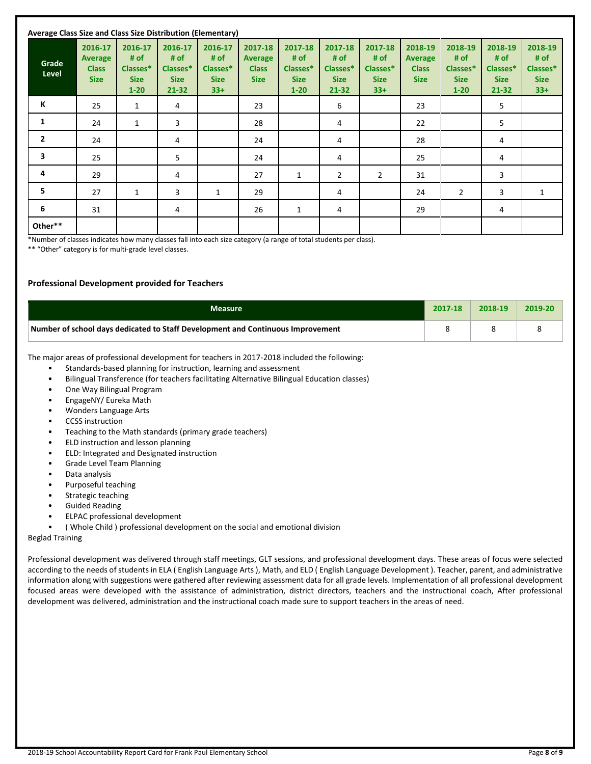| Average Class Size and Class Size Distribution (Elementary) |                                                   |                                                        |                                                         |                                                     |                                                          |                                                        |                                                         |                                                     |                                                          |                                                        |                                                         |                                                     |
|-------------------------------------------------------------|---------------------------------------------------|--------------------------------------------------------|---------------------------------------------------------|-----------------------------------------------------|----------------------------------------------------------|--------------------------------------------------------|---------------------------------------------------------|-----------------------------------------------------|----------------------------------------------------------|--------------------------------------------------------|---------------------------------------------------------|-----------------------------------------------------|
| Grade<br>Level                                              | 2016-17<br>Average<br><b>Class</b><br><b>Size</b> | 2016-17<br># of<br>Classes*<br><b>Size</b><br>$1 - 20$ | 2016-17<br># of<br>Classes*<br><b>Size</b><br>$21 - 32$ | 2016-17<br># of<br>Classes*<br><b>Size</b><br>$33+$ | 2017-18<br><b>Average</b><br><b>Class</b><br><b>Size</b> | 2017-18<br># of<br>Classes*<br><b>Size</b><br>$1 - 20$ | 2017-18<br># of<br>Classes*<br><b>Size</b><br>$21 - 32$ | 2017-18<br># of<br>Classes*<br><b>Size</b><br>$33+$ | 2018-19<br><b>Average</b><br><b>Class</b><br><b>Size</b> | 2018-19<br># of<br>Classes*<br><b>Size</b><br>$1 - 20$ | 2018-19<br># of<br>Classes*<br><b>Size</b><br>$21 - 32$ | 2018-19<br># of<br>Classes*<br><b>Size</b><br>$33+$ |
| К                                                           | 25                                                | 1                                                      | 4                                                       |                                                     | 23                                                       |                                                        | 6                                                       |                                                     | 23                                                       |                                                        | 5                                                       |                                                     |
| 1                                                           | 24                                                | $\mathbf{1}$                                           | 3                                                       |                                                     | 28                                                       |                                                        | 4                                                       |                                                     | 22                                                       |                                                        | 5                                                       |                                                     |
| $\mathbf{2}$                                                | 24                                                |                                                        | 4                                                       |                                                     | 24                                                       |                                                        | 4                                                       |                                                     | 28                                                       |                                                        | 4                                                       |                                                     |
| 3                                                           | 25                                                |                                                        | 5                                                       |                                                     | 24                                                       |                                                        | 4                                                       |                                                     | 25                                                       |                                                        | 4                                                       |                                                     |
| 4                                                           | 29                                                |                                                        | 4                                                       |                                                     | 27                                                       | 1                                                      | $\overline{2}$                                          | 2                                                   | 31                                                       |                                                        | 3                                                       |                                                     |
| 5                                                           | 27                                                | $\mathbf{1}$                                           | 3                                                       | $\mathbf{1}$                                        | 29                                                       |                                                        | 4                                                       |                                                     | 24                                                       | $\overline{2}$                                         | 3                                                       | $\mathbf{1}$                                        |
| 6                                                           | 31                                                |                                                        | 4                                                       |                                                     | 26                                                       | 1                                                      | 4                                                       |                                                     | 29                                                       |                                                        | 4                                                       |                                                     |
| Other**                                                     |                                                   |                                                        |                                                         |                                                     |                                                          |                                                        |                                                         |                                                     |                                                          |                                                        |                                                         |                                                     |

\*Number of classes indicates how many classes fall into each size category (a range of total students per class).

\*\* "Other" category is for multi-grade level classes.

## **Professional Development provided for Teachers**

| <b>Measure</b>                                                                  | 2017-18 | 2018-19 | 2019-20 |
|---------------------------------------------------------------------------------|---------|---------|---------|
| Number of school days dedicated to Staff Development and Continuous Improvement |         |         |         |

The major areas of professional development for teachers in 2017-2018 included the following:

- Standards-based planning for instruction, learning and assessment
- Bilingual Transference (for teachers facilitating Alternative Bilingual Education classes)
- One Way Bilingual Program
- EngageNY/ Eureka Math
- Wonders Language Arts
- CCSS instruction
- Teaching to the Math standards (primary grade teachers)
- ELD instruction and lesson planning
- ELD: Integrated and Designated instruction
- Grade Level Team Planning
- Data analysis
- Purposeful teaching
- Strategic teaching
- Guided Reading
- ELPAC professional development
- ( Whole Child ) professional development on the social and emotional division

#### Beglad Training

Professional development was delivered through staff meetings, GLT sessions, and professional development days. These areas of focus were selected according to the needs of students in ELA ( English Language Arts ), Math, and ELD ( English Language Development ). Teacher, parent, and administrative information along with suggestions were gathered after reviewing assessment data for all grade levels. Implementation of all professional development focused areas were developed with the assistance of administration, district directors, teachers and the instructional coach, After professional development was delivered, administration and the instructional coach made sure to support teachers in the areas of need.